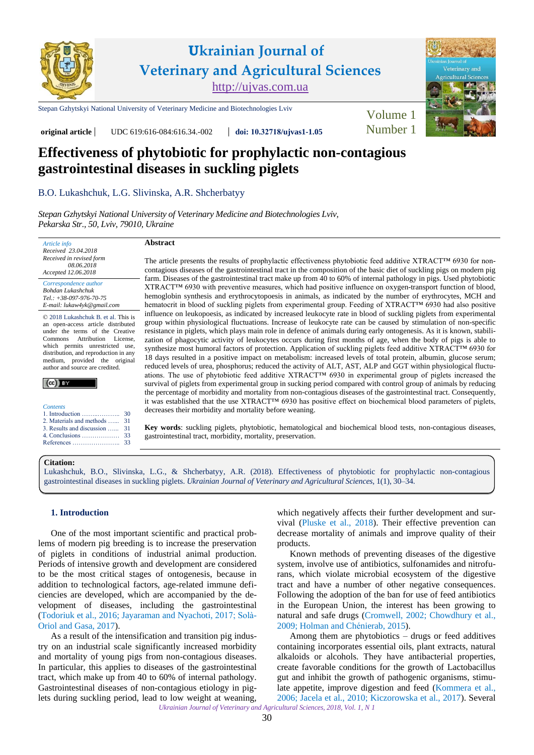

The article presents the results of prophylactic effectiveness phytobiotic feed additive XTRACT™ 6930 for noncontagious diseases of the gastrointestinal tract in the composition of the basic diet of suckling pigs on modern pig farm. Diseases of the gastrointestinal tract make up from 40 to 60% of internal pathology in pigs. Used phytobiotic XTRACT™ 6930 with preventive measures, which had positive influence on oxygen-transport function of blood, hemoglobin synthesis and erythrocytopoesis in animals, as indicated by the number of erythrocytes, MCH and hematocrit in blood of suckling piglets from experimental group. Feeding of XTRACT™ 6930 had also positive influence on leukopoesis, as indicated by increased leukocyte rate in blood of suckling piglets from experimental group within physiological fluctuations. Increase of leukocyte rate can be caused by stimulation of non-specific resistance in piglets, which plays main role in defence of animals during early ontogenesis. As it is known, stabilization of phagocytic activity of leukocytes occurs during first months of age, when the body of pigs is able to synthesize most humoral factors of protection. Application of suckling piglets feed additive XTRACT™ 6930 for 18 days resulted in a positive impact on metabolism: increased levels of total protein, albumin, glucose serum; reduced levels of urea, phosphorus; reduced the activity of ALT, AST, ALP and GGT within physiological fluctuations. The use of phytobiotic feed additive XTRACT™ 6930 in experimental group of piglets increased the survival of piglets from experimental group in sucking period compared with control group of animals by reducing the percentage of morbidity and mortality from non-contagious diseases of the gastrointestinal tract. Consequently, it was established that the use XTRACT™ 6930 has positive effect on biochemical blood parameters of piglets,

**Key words**: suckling piglets, phytobiotic, hematological and biochemical blood tests, non-contagious diseases,

**Effectiveness of phytobiotic for prophylactic non-contagious gastrointestinal diseases in suckling piglets** 

**original article** UDC 619:616-084:616.34.-002 **doi: 10.32718[/ujvas1-1.05](https://doi.org/10.32718/ujvas1-1.05)** Number 1

# [B.O. Lukashchuk,](https://orcid.org/0000-0002-1919-4015) [L.G. Slivinska](https://orcid.org/0000-0003-4441-7628), [A.R. Shcherbatyy](https://orcid.org/0000-0002-4976-2212)

*[Stepan Gzhytskyi National University of Veterinary Medicine and Biotechnologies Lviv,](https://lvet.edu.ua)  Pekarska Str., 50, Lviv, 79010, Ukraine* 

## **Abstract**

*Accepted 12.06.2018 Correspondence author [Bohdan Lukashchuk](https://scholar.google.com.ua/citations?user=1-8fQhoAAAAJ&hl=ru) Tel.: +38-097-976-70-75 E-mail: lukaw4yk@gmail.com*

*Article info Received 23.04.2018 Received in revised form 08.06.2018*

© 2018 Lukashchuk B. et al. This is an open-access article distributed under the terms of the Creative Commons Attribution License, which permits unrestricted use, distribution, and reproduction in any medium, provided the original author and source are credited.

| <b>Contents</b> |  |
|-----------------|--|

|                               | 30 |
|-------------------------------|----|
| 2. Materials and methods   31 |    |
| 3. Results and discussion  31 |    |
|                               |    |

[4. Conclusions ………………](#page-3-0) [References …………………..](#page-3-0) [33](#page-3-0)

**Citation:** 

[Lukashchuk, B.O., Slivinska, L.G., & Shcherbatyy, A.R. \(2018\). Effectiveness of phytobiotic](https://doi.org/10.32718/ujvas1-1.05) for prophylactic non-contagious gastrointestinal diseases in suckling piglets. *Ukrainian Journal of Veterinary and Agricultural Sciences*, 1(1), 30–34.

decreases their morbidity and mortality before weaning.

gastrointestinal tract, morbidity, mortality, preservation.

## **1. Introduction**

One of the most important scientific and practical problems of modern pig breeding is to increase the preservation of piglets in conditions of industrial animal production. Periods of intensive growth and development are considered to be the most critical stages of ontogenesis, because in addition to technological factors, age-related immune deficiencies are developed, which are accompanied by the development of diseases, including the gastrointestinal ([Todoriuk et al., 2016](#page-4-0); [Jayaraman and Nyachoti, 2017; Solà](#page-3-0)-[Oriol and Gasa, 2017](#page-3-0)).

As a result of the intensification and transition pig industry on an industrial scale significantly increased morbidity and mortality of young pigs from non-contagious diseases. In particular, this applies to diseases of the gastrointestinal tract, which make up from 40 to 60% of internal pathology. Gastrointestinal diseases of non-contagious etiology in piglets during suckling period, lead to low weight at weaning,

which negatively affects their further development and survival ([Pluske et al., 2018](#page-3-0)). Their effective prevention can decrease mortality of animals and improve quality of their products.

Known methods of preventing diseases of the digestive system, involve use of antibiotics, sulfonamides and nitrofurans, which violate microbial ecosystem of the digestive tract and have a number of other negative consequences. Following the adoption of the ban for use of feed antibiotics in the European Union, the interest has been growing to natural and safe drugs ([Cromwell, 2002;](#page-4-0) [Chowdhury et al.,](#page-4-0)  [2009](#page-4-0); [Holman and Chénierab, 2015](#page-3-0)).

*Ukrainian Journal of Veterinary and Agricultural Sciences, 2018, Vol. 1, N 1*  Among them are phytobiotics – drugs or feed additives containing incorporates essential oils, plant extracts, natural alkaloids or alcohols. They have antibacterial properties, create favorable conditions for the growth of Lactobacillus gut and inhibit the growth of pathogenic organisms, stimulate appetite, improve digestion and feed ([Kommera et al.,](#page-4-0)  [2006](#page-4-0); [Jacela et al., 2010](#page-4-0); [Kiczorowska et al., 2017](#page-4-0)). Several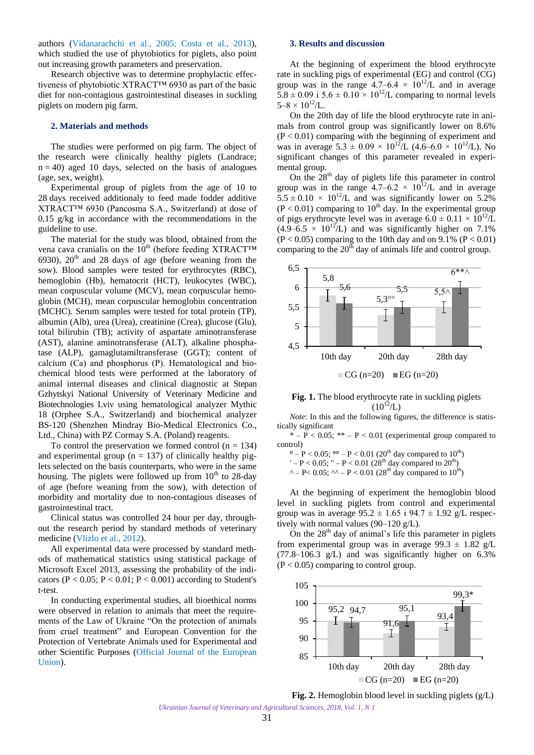<span id="page-1-0"></span>authors ([Vidanarachchi](#page-4-0) et al., 2005; [Costa et al., 2013](#page-4-0)), which studied the use of phytobiotics for piglets, also point out increasing growth parameters and preservation.

Research objective was to determine prophylactic effectiveness of phytobiotic XTRACT™ 6930 as part of the basic diet for non-contagious gastrointestinal diseases in suckling piglets on modern pig farm.

#### **2. Materials and methods**

The studies were performed on pig farm. The object of the research were clinically healthy piglets (Landrace;  $n = 40$ ) aged 10 days, selected on the basis of analogues (age, sex, weight).

Experimental group of piglets from the age of 10 to 28 days received additionaly to feed made fodder additive XTRACT™ 6930 (Pancosma S.A., Switzerland) at dose of 0,15 g/kg in accordance with the recommendations in the guideline to use.

The material for the study was blood, obtained from the vena cava cranialis on the  $10^{th}$  (before feeding XTRACT<sup>IM</sup> 6930),  $20<sup>th</sup>$  and 28 days of age (before weaning from the sow). Blood samples were tested for erythrocytes (RBC), hemoglobin (Hb), hematocrit (HCT), leukocytes (WBC), mean corpuscular volume (MCV), mean corpuscular hemoglobin (MCH), mean corpuscular hemoglobin concentration (MCHC). Serum samples were tested for total protein (TP), albumin (Alb), urea (Urea), creatinine (Crea), glucose (Glu), total bilirubin (TB); activity of aspartate aminotransferase (AST), alanine aminotransferase (ALT), alkaline phosphatase (ALP), gamaglutamiltransferase (GGT); content of calcium (Сa) and phosphorus (P). Hematological and biochemical blood tests were performed at the laboratory of animal internal diseases and clinical diagnostic at Stepan Gzhytskyi National University of Veterinary Medicine and Biotechnologies Lviv using hematological analyzer Mythic 18 (Orphee S.A., Switzerland) and biochemical analyzer BS-120 (Shenzhen Mindray Bio-Medical Electronics Co., Ltd., China) with PZ Cormay S.A. (Poland) reagents.

To control the preservation we formed control  $(n = 134)$ and experimental group ( $n = 137$ ) of clinically healthy piglets selected on the basis counterparts, who were in the same housing. The piglets were followed up from  $10<sup>th</sup>$  to 28-day of age (before weaning from the sow), with detection of morbidity and mortality due to non-contagious diseases of gastrointestinal tract.

Clinical status was controlled 24 hour per day, throughout the research period by standard methods of veterinary medicine [\(Vlizlo et al., 2012\)](#page-4-0).

All experimental data were processed by standard methods of mathematical statistics using statistical package of Microsoft Excel 2013, assessing the probability of the indicators ( $P < 0.05$ ;  $P < 0.01$ ;  $P < 0.001$ ) according to Student's t-test.

In conducting experimental studies, all bioethical norms were observed in relation to animals that meet the requirements of the Law of Ukraine "On the protection of animals from cruel treatment" and European Convention for the Protection of Vertebrate Animals used for Experimental and other Scientific Purposes [\(Official Journal of the European](#page-3-0) [Union\)](#page-4-0).

## **3. Results and discussion**

At the beginning of experiment the blood erythrocyte rate in suckling pigs of experimental (EG) and control (CG) group was in the range  $4.7-6.4 \times 10^{12}/L$  and in average  $5.8 \pm 0.09$  i  $5.6 \pm 0.10 \times 10^{12}$ /L comparing to normal levels  $5-8 \times 10^{12}$ /L.

On the 20th day of life the blood erythrocyte rate in animals from control group was significantly lower on 8.6%  $(P < 0.01)$  comparing with the beginning of experiment and was in average  $5.3 \pm 0.09 \times 10^{12}$ /L (4.6–6.0 × 10<sup>12</sup>/L). No significant changes of this parameter revealed in experimental group.

On the  $28<sup>th</sup>$  day of piglets life this parameter in control group was in the range  $4.7-6.2 \times 10^{12}$ /L and in average  $5.5 \pm 0.10 \times 10^{12}$ /L and was significantly lower on 5.2%  $(P < 0.01)$  comparing to 10<sup>th</sup> day. In the experimental group of pigs erythrocyte level was in average  $6.0 \pm 0.11 \times 10^{12}$ /L  $(4.9-6.5 \times 10^{12}$ /L) and was significantly higher on 7.1%  $(P < 0.05)$  comparing to the 10th day and on 9.1%  $(P < 0.01)$ comparing to the  $20<sup>th</sup>$  day of animals life and control group.



Fig. 1. The blood erythrocyte rate in suckling piglets  $(10^{12}/L)$ 

*Note*: In this and the following figures, the difference is statistically significant

 $* - P < 0.05$ ; \*\*  $- P < 0.01$  (experimental group compared to control)

 $\degree$  – P < 0.05;  $\degree$  – P < 0.01 (20<sup>th</sup> day compared to 10<sup>th</sup>)

 $' - P < 0.05$ ; " $- P < 0.01$  (28<sup>th</sup> day compared to 20<sup>th</sup>)

^ – P< 0.05; ^^ – P < 0.01 (28<sup>th</sup> day compared to 10<sup>th</sup>)

At the beginning of experiment the hemoglobin blood level in suckling piglets from control and experimental group was in average  $95.2 \pm 1.65$  i  $94.7 \pm 1.92$  g/L respectively with normal values (90–120 g/L).

On the  $28<sup>th</sup>$  day of animal's life this parameter in piglets from experimental group was in average  $99.3 \pm 1.82$  g/L  $(77.8-106.3 \text{ g/L})$  and was significantly higher on 6.3%  $(P < 0.05)$  comparing to control group.



**Fig. 2.** Hemoglobin blood level in suckling piglets (g/L)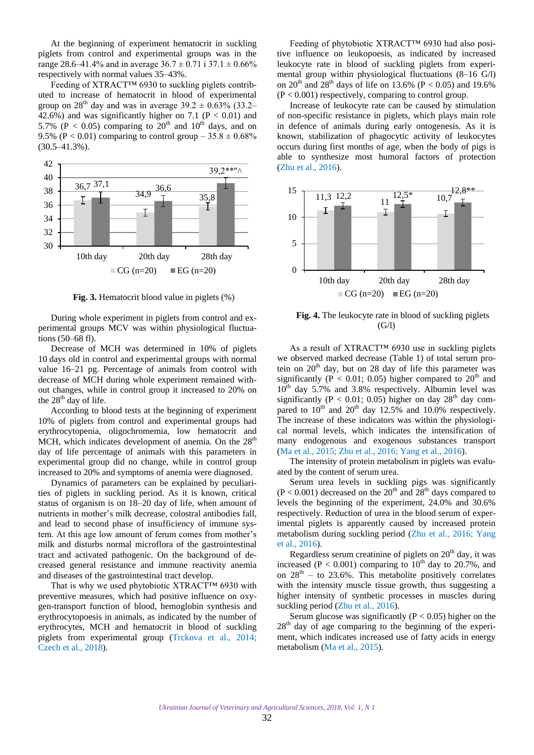At the beginning of experiment hematocrit in suckling piglets from control and experimental groups was in the range 28.6–41.4% and in average  $36.7 \pm 0.71$  i  $37.1 \pm 0.66$ % respectively with normal values 35–43%.

Feeding of XTRACT™ 6930 to suckling piglets contributed to increase of hematocrit in blood of experimental group on 28<sup>th</sup> day and was in average 39.2  $\pm$  0.63% (33.2– 42.6%) and was significantly higher on 7.1 ( $P < 0.01$ ) and 5.7% (P < 0.05) comparing to  $20<sup>th</sup>$  and  $10<sup>th</sup>$  days, and on 9.5% (P < 0.01) comparing to control group –  $35.8 \pm 0.68\%$  $(30.5 - 41.3\%)$ .



**Fig. 3.** Hematocrit blood value in piglets (%)

During whole experiment in piglets from control and experimental groups MCV was within physiological fluctuations (50–68 fl).

Decrease of MCH was determined in 10% of piglets 10 days old in control and experimental groups with normal value 16–21 pg. Percentage of animals from control with decrease of MCH during whole experiment remained without changes, while in control group it increased to 20% on the  $28<sup>th</sup>$  day of life.

According to blood tests at the beginning of experiment 10% of piglets from control and experimental groups had erythrocytopenia, oligochromemia, low hematocrit and MCH, which indicates development of anemia. On the  $28<sup>th</sup>$ day of life percentage of animals with this parameters in experimental group did no change, while in control group increased to 20% and symptoms of anemia were diagnosed.

Dynamics of parameters can be explained by peculiarities of piglets in suckling period. As it is known, critical status of organism is on 18–20 day of life, when amount of nutrients in mother's milk decrease, colostral antibodies fall, and lead to second phase of insufficiency of immune system. At this age low amount of ferum comes from mother's milk and disturbs normal microflora of the gastrointestinal tract and activated pathogenic. On the background of decreased general resistance and immune reactivity anemia and diseases of the gastrointestinal tract develop.

That is why we used phytobiotic XTRACT™ 6930 with preventive measures, which had positive influence on oxygen-transport function of blood, hemoglobin synthesis and erythrocytopoesis in animals, as indicated by the number of erythrocytes, MCH and hematocrit in blood of suckling piglets from experimental group [\(Trckova et al., 2014;](#page-4-0) [Czech et al., 2018\)](#page-4-0).

Feeding of phytobiotic XTRACT™ 6930 had also positive influence on leukopoesis, as indicated by increased leukocyte rate in blood of suckling piglets from experimental group within physiological fluctuations (8–16 G/l) on 20<sup>th</sup> and 28<sup>th</sup> days of life on 13.6% (P < 0.05) and 19.6%  $(P < 0.001)$  respectively, comparing to control group.

Increase of leukocyte rate can be caused by stimulation of non-specific resistance in piglets, which plays main role in defence of animals during early ontogenesis. As it is known, stabilization of phagocytic activity of leukocytes occurs during first months of age, when the body of pigs is able to synthesize most humoral factors of protection (Zhu [et al., 2016](#page-4-0)).



**Fig. 4.** The leukocyte rate in blood of suckling piglets  $(G/I)$ 

As a result of XTRACT™ 6930 use in suckling piglets we observed marked decrease (Table 1) of total serum protein on  $20<sup>th</sup>$  day, but on 28 day of life this parameter was significantly ( $P < 0.01$ ; 0.05) higher compared to 20<sup>th</sup> and  $10^{th}$  day 5.7% and 3.8% respectively. Albumin level was significantly (P < 0.01; 0.05) higher on day  $28<sup>th</sup>$  day compared to  $10^{th}$  and  $20^{th}$  day 12.5% and 10.0% respectively. The increase of these indicators was within the physiological normal levels, which indicates the intensification of many endogenous and exogenous substances transport (Ma [et al., 2015;](#page-4-0) Zhu [et al., 2016](#page-4-0); [Yang et al., 2016\)](#page-4-0).

The intensity of protein metabolism in piglets was evaluated by the content of serum urea.

Serum urea levels in suckling pigs was significantly  $(P < 0.001)$  decreased on the 20<sup>th</sup> and 28<sup>th</sup> days compared to levels the beginning of the experiment, 24.0% and 30.6% respectively. Reduction of urea in the blood serum of experimental piglets is apparently caused by increased protein metabolism during suckling period ([Zhu et al., 2016;](#page-4-0) [Yang](#page-4-0)  [et al., 2016\)](#page-4-0).

Regardless serum creatinine of piglets on  $20<sup>th</sup>$  day, it was increased (P < 0.001) comparing to  $10^{th}$  day to 20.7%, and on  $28<sup>th</sup>$  – to 23.6%. This metabolite positively correlates with the intensity muscle tissue growth, thus suggesting a higher intensity of synthetic processes in muscles during suckling period ([Zhu et al., 2016\)](#page-4-0).

Serum glucose was significantly ( $P < 0.05$ ) higher on the  $28<sup>th</sup>$  day of age comparing to the beginning of the experiment, which indicates increased use of fatty acids in energy metabolism ([Ma et al., 2015\)](#page-4-0).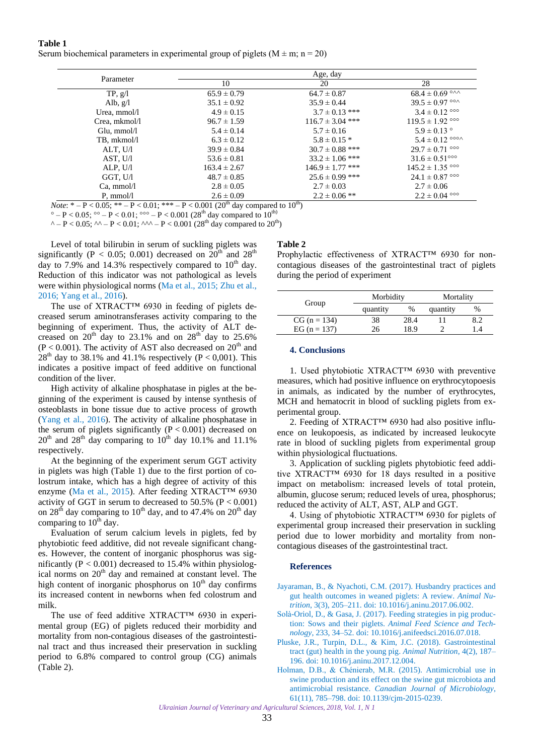<span id="page-3-0"></span>**Table 1** Serum biochemical parameters in experimental group of piglets ( $M \pm m$ ; n = 20)

| Parameter             | Age, day         |                      |                                   |  |
|-----------------------|------------------|----------------------|-----------------------------------|--|
|                       | 10               | 20                   | 28                                |  |
| TP, g/l               | $65.9 \pm 0.79$  | $64.7 \pm 0.87$      | $68.4 \pm 0.69$ ° $\sim$          |  |
| Alb, $g/l$            | $35.1 \pm 0.92$  | $35.9 \pm 0.44$      | $39.5 \pm 0.97$ °°                |  |
| Urea, mmol/l          | $4.9 \pm 0.15$   | $3.7 \pm 0.13$ ***   | $3.4 \pm 0.12$ °°                 |  |
| Crea, mkmol/l         | $96.7 \pm 1.59$  | $116.7 \pm 3.04$ *** | $119.5 \pm 1.92$ °°°              |  |
| Glu, mmol/l           | $5.4 \pm 0.14$   | $5.7 \pm 0.16$       | $5.9 \pm 0.13$ °                  |  |
| TB, mkmol/l           | $6.3 \pm 0.12$   | $5.8 \pm 0.15$ *     | $5.4 \pm 0.12$ °°                 |  |
| ALT, U/l              | $39.9 \pm 0.84$  | $30.7 \pm 0.88$ ***  | $29.7 \pm 0.71$ °°                |  |
| AST, U/l              | $53.6 \pm 0.81$  | $33.2 \pm 1.06$ ***  | $31.6 \pm 0.51^{\circ\circ\circ}$ |  |
| ALP, U/l              | $163.4 \pm 2.67$ | $146.9 \pm 1.77$ *** | $145.2 \pm 1.35$ °°°              |  |
| GGT, U/I              | $48.7 \pm 0.85$  | $25.6 \pm 0.99$ ***  | $24.1 \pm 0.87$ °°                |  |
| Ca, mmol/l            | $2.8 \pm 0.05$   | $2.7 \pm 0.03$       | $2.7 \pm 0.06$                    |  |
| $P, \, \text{mmol/l}$ | $2.6 \pm 0.09$   | $2.2 \pm 0.06$ **    | $2.2 \pm 0.04$ °°°                |  |

*Note*:  $* - P < 0.05$ ;  $** - P < 0.01$ ;  $*** - P < 0.001$  (20<sup>th</sup> day compared to 10<sup>th</sup>)

 $^{\circ}$  – P < 0.05;  $^{\circ}$  – P < 0.01;  $^{\circ}$   $^{\circ}$  – P < 0.001 (28<sup>th</sup> day compared to 10<sup>th)</sup>

^ – P < 0.05; ^^ – P < 0.01; ^^^ – P < 0.001 (28<sup>th</sup> day compared to 20<sup>th</sup>)

Level of total bilirubin in serum of suckling piglets was significantly (P < 0.05; 0.001) decreased on 20<sup>th</sup> and 28<sup>th</sup> day to 7.9% and 14.3% respectively compared to  $10<sup>th</sup>$  day. Reduction of this indicator was not pathological as levels were within physiological norms ([Ma et al., 2015](#page-4-0); [Zhu et al.,](#page-4-0) [2016;](#page-4-0) [Yang et al., 2016](#page-4-0)).

The use of XTRACT™ 6930 in feeding of piglets decreased serum aminotransferases activity comparing to the beginning of experiment. Thus, the activity of ALT decreased on  $20^{th}$  day to 23.1% and on  $28^{th}$  day to 25.6%  $(P < 0.001)$ . The activity of AST also decreased on  $20<sup>th</sup>$  and  $28<sup>th</sup>$  day to 38.1% and 41.1% respectively (P < 0,001). This indicates a positive impact of feed additive on functional condition of the liver.

High activity of alkaline phosphatase in pigles at the beginning of the experiment is caused by intense synthesis of osteoblasts in bone tissue due to active process of growth ([Yang et al., 2016](#page-4-0)). The activity of alkaline phosphatase in the serum of piglets significantly  $(P < 0.001)$  decreased on  $20<sup>th</sup>$  and  $28<sup>th</sup>$  day comparing to  $10<sup>th</sup>$  day 10.1% and 11.1% respectively.

At the beginning of the experiment serum GGT activity in piglets was high (Table 1) due to the first portion of colostrum intake, which has a high degree of activity of this enzyme ([Ma et al., 2015\)](#page-4-0). After feeding XTRACT™ 6930 activity of GGT in serum to decreased to  $50.5\%$  (P < 0.001) on  $28<sup>th</sup>$  day comparing to  $10<sup>th</sup>$  day, and to 47.4% on  $20<sup>th</sup>$  day comparing to  $10<sup>th</sup>$  day.

Evaluation of serum calcium levels in piglets, fed by phytobiotic feed additive, did not reveale significant changes. However, the content of inorganic phosphorus was significantly ( $P < 0.001$ ) decreased to 15.4% within physiological norms on 20<sup>th</sup> day and remained at constant level. The high content of inorganic phosphorus on  $10<sup>th</sup>$  day confirms its increased content in newborns when fed colostrum and milk.

The use of feed additive XTRACT™ 6930 in experimental group (EG) of piglets reduced their morbidity and mortality from non-contagious diseases of the gastrointestinal tract and thus increased their preservation in suckling period to 6.8% compared to control group (CG) animals (Table 2).

### **Table 2**

Prophylactic effectiveness of XTRACT™ 6930 for noncontagious diseases of the gastrointestinal tract of piglets during the period of experiment

| quantity | %          | quantity | $\%$ |
|----------|------------|----------|------|
|          |            |          |      |
|          | 28.4<br>38 |          |      |
|          | 18.9<br>26 |          |      |
|          |            |          |      |

#### **4. Conclusions**

1. Used phytobiotic XTRACT™ 6930 with preventive measures, which had positive influence on erythrocytopoesis in animals, as indicated by the number of erythrocytes, MCH and hematocrit in blood of suckling piglets from experimental group.

2. Feeding of XTRACT<sup>™</sup> 6930 had also positive influence on leukopoesis, as indicated by increased leukocyte rate in blood of suckling piglets from experimental group within physiological fluctuations.

3. Application of suckling piglets phytobiotic feed additive XTRACT™ 6930 for 18 days resulted in a positive impact on metabolism: increased levels of total protein, albumin, glucose serum; reduced levels of urea, phosphorus; reduced the activity of ALT, AST, ALP and GGT.

4. Using of phytobiotic XTRACT™ 6930 for piglets of experimental group increased their preservation in suckling period due to lower morbidity and mortality from noncontagious diseases of the gastrointestinal tract.

### **References**

Jayaraman, B., & Nyachoti, C.M. (2017). Husbandry practices and [gut health outcomes in weaned piglets: A review.](https://doi.org/10.1016/j.aninu.2017.06.002) *Animal Nutrition*, 3(3), 205–211. doi: 10.1016/j.aninu.2017.06.002.

- [Solà-Oriol, D., & Gasa, J. \(2017\). Feeding strategies in pig produc](https://doi.org/10.1016/j.anifeedsci.2016.07.018)tion: Sows and their piglets. *Animal Feed Science and Technology*, 233, 34–52. doi: 10.1016/j.anifeedsci.2016.07.018.
- [Pluske, J.R., Turpin, D.L., & Kim, J.C. \(2018\). Gastrointestinal](https://doi.org/10.1016/j.aninu.2017.12.004)  tract (gut) health in the young pig. *Animal Nutrition*, 4(2), 187– 196. doi: 10.1016/j.aninu.2017.12.004.
- Holman, D.B., & Chénierab, M.R. (2015). Antimicrobial use in [swine production and its effect on the swine gut microbiota and](https://doi.org/10.1139/cjm-2015-0239)  antimicrobial resistance. *Canadian Journal of Microbiology*, 61(11), 785–798. doi: 10.1139/cjm-2015-0239.

*Ukrainian Journal of Veterinary and Agricultural Sciences, 2018, Vol. 1, N 1*